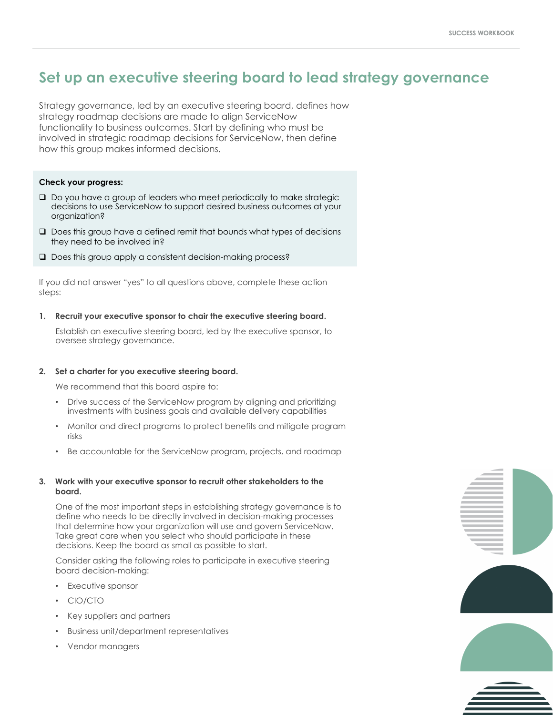# **Set up an executive steering board to lead strategy governance**

Strategy governance, led by an executive steering board, defines how strategy roadmap decisions are made to align ServiceNow functionality to business outcomes. Start by defining who must be involved in strategic roadmap decisions for ServiceNow, then define how this group makes informed decisions.

## **Check your progress:**

- $\Box$  Do you have a group of leaders who meet periodically to make strategic decisions to use ServiceNow to support desired business outcomes at your organization?
- $\Box$  Does this group have a defined remit that bounds what types of decisions they need to be involved in?
- **Q** Does this group apply a consistent decision-making process?

If you did not answer "yes" to all questions above, complete these action steps:

## **1. Recruit your executive sponsor to chair the executive steering board.**

Establish an executive steering board, led by the executive sponsor, to oversee strategy governance.

## **2. Set a charter for you executive steering board.**

We recommend that this board aspire to:

- Drive success of the ServiceNow program by aligning and prioritizing investments with business goals and available delivery capabilities
- Monitor and direct programs to protect benefits and mitigate program risks
- Be accountable for the ServiceNow program, projects, and roadmap

## **3. Work with your executive sponsor to recruit other stakeholders to the board.**

One of the most important steps in establishing strategy governance is to define who needs to be directly involved in decision-making processes that determine how your organization will use and govern ServiceNow. Take great care when you select who should participate in these decisions. Keep the board as small as possible to start.

Consider asking the following roles to participate in executive steering board decision-making:

- Executive sponsor
- CIO/CTO
- Key suppliers and partners
- Business unit/department representatives
- Vendor managers

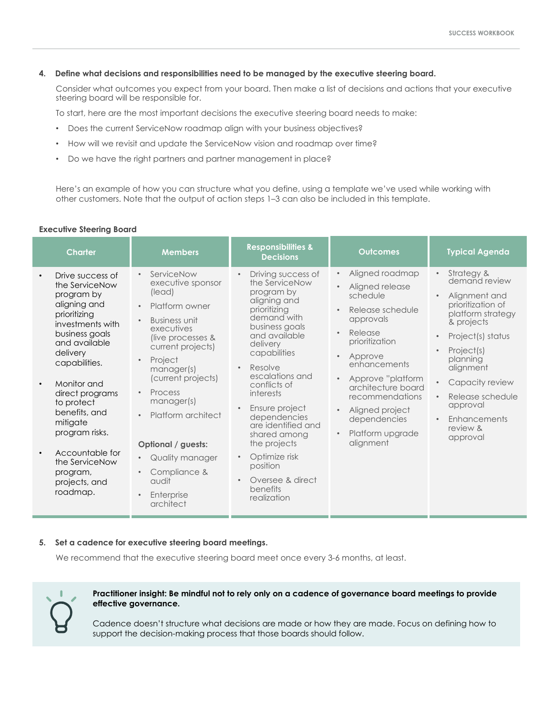## **4. Define what decisions and responsibilities need to be managed by the executive steering board.**

Consider what outcomes you expect from your board. Then make a list of decisions and actions that your executive steering board will be responsible for.

To start, here are the most important decisions the executive steering board needs to make:

- Does the current ServiceNow roadmap align with your business objectives?
- How will we revisit and update the ServiceNow vision and roadmap over time?
- Do we have the right partners and partner management in place?

Here's an example of how you can structure what you define, using a template we've used while working with other customers. Note that the output of action steps 1–3 can also be included in this template.

#### **Executive Steering Board**

| <b>Charter</b>                                                                                                                                                                                                                                                                                                                                    | <b>Members</b>                                                                                                                                                                                                                                                                                                                                                                                   | <b>Responsibilities &amp;</b><br><b>Decisions</b>                                                                                                                                                                                                                                                                                                                                                                                      | <b>Outcomes</b>                                                                                                                                                                                                                                                                                                                                                                   | <b>Typical Agenda</b>                                                                                                                                                                                                                                                                                                                                  |
|---------------------------------------------------------------------------------------------------------------------------------------------------------------------------------------------------------------------------------------------------------------------------------------------------------------------------------------------------|--------------------------------------------------------------------------------------------------------------------------------------------------------------------------------------------------------------------------------------------------------------------------------------------------------------------------------------------------------------------------------------------------|----------------------------------------------------------------------------------------------------------------------------------------------------------------------------------------------------------------------------------------------------------------------------------------------------------------------------------------------------------------------------------------------------------------------------------------|-----------------------------------------------------------------------------------------------------------------------------------------------------------------------------------------------------------------------------------------------------------------------------------------------------------------------------------------------------------------------------------|--------------------------------------------------------------------------------------------------------------------------------------------------------------------------------------------------------------------------------------------------------------------------------------------------------------------------------------------------------|
| Drive success of<br>the ServiceNow<br>program by<br>aligning and<br>prioritizing<br>investments with<br>business goals<br>and available<br>delivery<br>capabilities.<br>Monitor and<br>direct programs<br>to protect<br>benefits, and<br>mitigate<br>program risks.<br>Accountable for<br>the ServiceNow<br>program,<br>projects, and<br>roadmap. | ServiceNow<br>$\bullet$<br>executive sponsor<br>(lead)<br>Platform owner<br>Business unit<br>$\bullet$<br>executives<br>(live processes &<br>current projects)<br>Project<br>$\bullet$<br>manager(s)<br>(current projects)<br>Process<br>$\bullet$<br>manager(s)<br>Platform architect<br>Optional / guests:<br>Quality manager<br>$\bullet$<br>Compliance &<br>audit<br>Enterprise<br>architect | Driving success of<br>the ServiceNow<br>program by<br>aligning and<br>prioritizing<br>demand with<br>business goals<br>and available<br>delivery<br>capabilities<br>Resolve<br>$\bullet$<br>escalations and<br>conflicts of<br>interests<br>Ensure project<br>dependencies<br>are identified and<br>shared among<br>the projects<br>Optimize risk<br>$\bullet$<br>position<br>Oversee & direct<br>$\bullet$<br>benefits<br>realization | Aligned roadmap<br>$\bullet$<br>Aligned release<br>$\bullet$<br>schedule<br>Release schedule<br>$\bullet$<br>approvals<br>Release<br>$\bullet$<br>prioritization<br>Approve<br>$\bullet$<br>enhancements<br>Approve "platform<br>$\bullet$<br>architecture board<br>recommendations<br>Aligned project<br>$\bullet$<br>dependencies<br>Platform upgrade<br>$\bullet$<br>alignment | Strategy &<br>$\bullet$<br>demand review<br>Alignment and<br>$\bullet$<br>prioritization of<br>platform strategy<br>& projects<br>Project(s) status<br>$\bullet$<br>Project(s)<br>$\bullet$<br>planning<br>alignment<br>Capacity review<br>$\bullet$<br>Release schedule<br>$\bullet$<br>approval<br>Enhancements<br>$\bullet$<br>review &<br>approval |

## **5. Set a cadence for executive steering board meetings.**

We recommend that the executive steering board meet once every 3-6 months, at least.



## **Practitioner insight: Be mindful not to rely only on a cadence of governance board meetings to provide effective governance.**

Cadence doesn't structure what decisions are made or how they are made. Focus on defining how to support the decision-making process that those boards should follow.